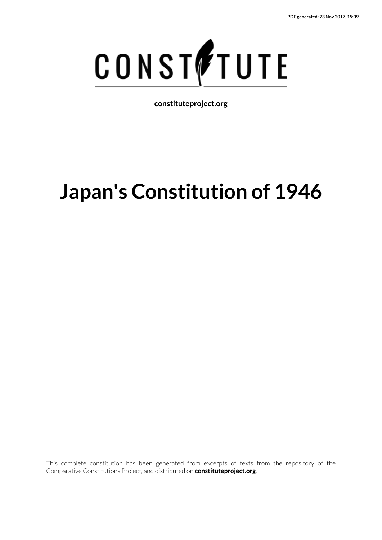

**constituteproject.org**

# **Japan's Constitution of 1946**

This complete constitution has been generated from excerpts of texts from the repository of the Comparative Constitutions Project, and distributed on **constituteproject.org**.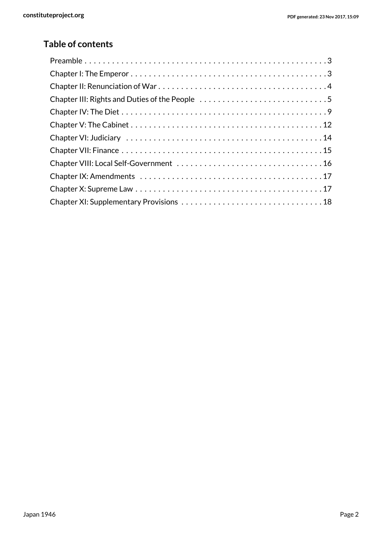### **Table of contents**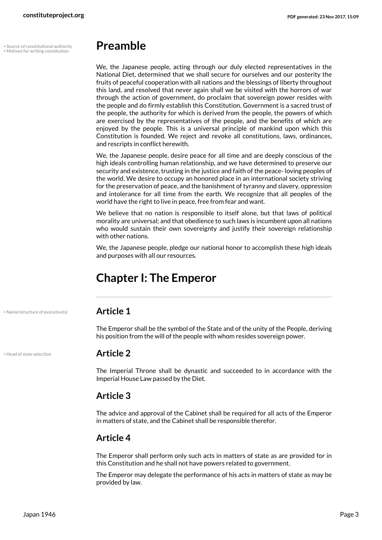• • Source of constitutional authority

# <span id="page-2-5"></span><span id="page-2-3"></span><span id="page-2-0"></span>**Preamble**

We, the Japanese people, acting through our duly elected representatives in the National Diet, determined that we shall secure for ourselves and our posterity the fruits of peaceful cooperation with all nations and the blessings of liberty throughout this land, and resolved that never again shall we be visited with the horrors of war through the action of government, do proclaim that sovereign power resides with the people and do firmly establish this Constitution. Government is a sacred trust of the people, the authority for which is derived from the people, the powers of which are exercised by the representatives of the people, and the benefits of which are enjoyed by the people. This is a universal principle of mankind upon which this Constitution is founded. We reject and revoke all constitutions, laws, ordinances, and rescripts in conflict herewith.

We, the Japanese people, desire peace for all time and are deeply conscious of the high ideals controlling human relationship, and we have determined to preserve our security and existence, trusting in the justice and faith of the peace- loving peoples of the world. We desire to occupy an honored place in an international society striving for the preservation of peace, and the banishment of tyranny and slavery, oppression and intolerance for all time from the earth. We recognize that all peoples of the world have the right to live in peace, free from fear and want.

We believe that no nation is responsible to itself alone, but that laws of political morality are universal; and that obedience to such laws is incumbent upon all nations who would sustain their own sovereignty and justify their sovereign relationship with other nations.

We, the Japanese people, pledge our national honor to accomplish these high ideals and purposes with all our resources.

# <span id="page-2-1"></span>**Chapter I: The Emperor**

• Name/structure of executive(s) **Article 1**

<span id="page-2-4"></span>The Emperor shall be the symbol of the State and of the unity of the People, deriving his position from the will of the people with whom resides sovereign power.

<span id="page-2-2"></span>• Head of state selection **Article 2**

The Imperial Throne shall be dynastic and succeeded to in accordance with the Imperial House Law passed by the Diet.

#### **Article 3**

The advice and approval of the Cabinet shall be required for all acts of the Emperor in matters of state, and the Cabinet shall be responsible therefor.

#### **Article 4**

The Emperor shall perform only such acts in matters of state as are provided for in this Constitution and he shall not have powers related to government.

The Emperor may delegate the performance of his acts in matters of state as may be provided by law.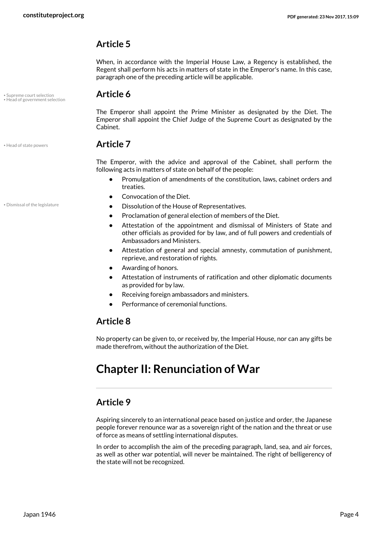When, in accordance with the Imperial House Law, a Regency is established, the Regent shall perform his acts in matters of state in the Emperor's name. In this case, paragraph one of the preceding article will be applicable.

• Supreme court selection **Article 6** • Head of government selection

<span id="page-3-4"></span><span id="page-3-2"></span>The Emperor shall appoint the Prime Minister as designated by the Diet. The Emperor shall appoint the Chief Judge of the Supreme Court as designated by the Cabinet.

#### <span id="page-3-3"></span>• Head of state powers **Article 7**

The Emperor, with the advice and approval of the Cabinet, shall perform the following acts in matters of state on behalf of the people:

- **•** Promulgation of amendments of the constitution, laws, cabinet orders and treaties.
- <span id="page-3-1"></span>**•** Convocation of the Diet.
- Dismissal of the legislature  **Dissolution of the House of Representatives.** 
	- **•** Proclamation of general election of members of the Diet.
	- **•** Attestation of the appointment and dismissal of Ministers of State and other officials as provided for by law, and of full powers and credentials of Ambassadors and Ministers.
	- **•** Attestation of general and special amnesty, commutation of punishment, reprieve, and restoration of rights.
	- **•** Awarding of honors.
	- **•** Attestation of instruments of ratification and other diplomatic documents as provided for by law.
	- **•** Receiving foreign ambassadors and ministers.
	- **•** Performance of ceremonial functions.

### **Article 8**

No property can be given to, or received by, the Imperial House, nor can any gifts be made therefrom, without the authorization of the Diet.

# <span id="page-3-0"></span>**Chapter II: Renunciation of War**

#### **Article 9**

Aspiring sincerely to an international peace based on justice and order, the Japanese people forever renounce war as a sovereign right of the nation and the threat or use of force as means of settling international disputes.

In order to accomplish the aim of the preceding paragraph, land, sea, and air forces, as well as other war potential, will never be maintained. The right of belligerency of the state will not be recognized.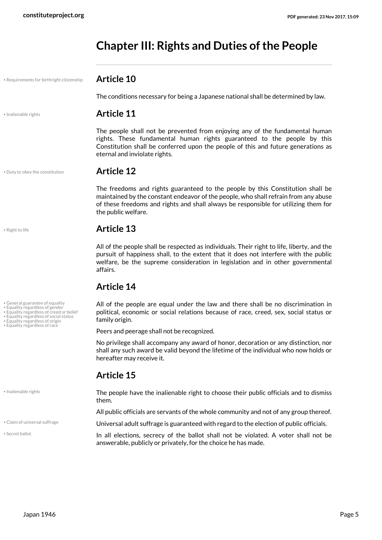# <span id="page-4-0"></span>**Chapter III: Rights and Duties of the People**

### • Requirements for birthright citizenship **Article 10**

<span id="page-4-10"></span>The conditions necessary for being a Japanese national shall be determined by law.

#### • Inalienable rights **Article 11**

the public welfare.

The people shall not be prevented from enjoying any of the fundamental human rights. These fundamental human rights guaranteed to the people by this Constitution shall be conferred upon the people of this and future generations as eternal and inviolate rights.

<span id="page-4-2"></span>The freedoms and rights guaranteed to the people by this Constitution shall be maintained by the constant endeavor of the people, who shall refrain from any abuse of these freedoms and rights and shall always be responsible for utilizing them for

All of the people shall be respected as individuals. Their right to life, liberty, and the pursuit of happiness shall, to the extent that it does not interfere with the public welfare, be the supreme consideration in legislation and in other governmental

• Duty to obey the constitution **Article 12**

#### <span id="page-4-11"></span>• Right to life **Article 13**

- General guarantee of equality Equality regardless of gender Equality regardless of creed or belief
- 
- Equality regardless of origin
- Equality regardless of race

• Equality regardless of social status

<span id="page-4-6"></span><span id="page-4-5"></span>

affairs.

**Article 14**

<span id="page-4-9"></span>• Inalienable rights

<span id="page-4-12"></span>• Secret ballot

<span id="page-4-8"></span><span id="page-4-7"></span><span id="page-4-4"></span><span id="page-4-3"></span>political, economic or social relations because of race, creed, sex, social status or family origin. Peers and peerage shall not be recognized.

No privilege shall accompany any award of honor, decoration or any distinction, nor shall any such award be valid beyond the lifetime of the individual who now holds or hereafter may receive it.

All of the people are equal under the law and there shall be no discrimination in

#### **Article 15**

The people have the inalienable right to choose their public officials and to dismiss them.

All public officials are servants of the whole community and not of any group thereof.

• Claim of universal suffrage **in the claim** of universal adult suffrage is guaranteed with regard to the election of public officials.

<span id="page-4-1"></span>In all elections, secrecy of the ballot shall not be violated. A voter shall not be answerable, publicly or privately, for the choice he has made.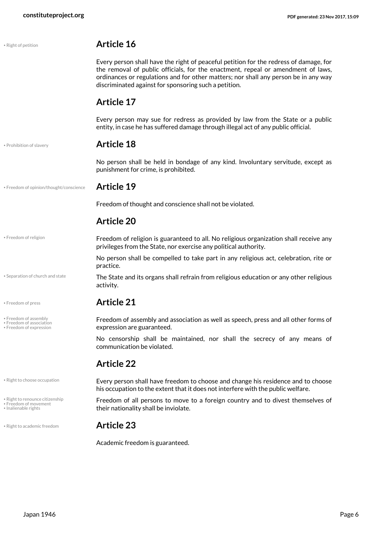<span id="page-5-13"></span><span id="page-5-12"></span><span id="page-5-11"></span><span id="page-5-10"></span><span id="page-5-9"></span><span id="page-5-8"></span><span id="page-5-7"></span><span id="page-5-6"></span><span id="page-5-5"></span><span id="page-5-4"></span><span id="page-5-3"></span><span id="page-5-2"></span><span id="page-5-1"></span><span id="page-5-0"></span>

| • Right of petition                                                              | <b>Article 16</b>                                                                                                                                                                                                                                                                                                         |
|----------------------------------------------------------------------------------|---------------------------------------------------------------------------------------------------------------------------------------------------------------------------------------------------------------------------------------------------------------------------------------------------------------------------|
|                                                                                  | Every person shall have the right of peaceful petition for the redress of damage, for<br>the removal of public officials, for the enactment, repeal or amendment of laws,<br>ordinances or regulations and for other matters; nor shall any person be in any way<br>discriminated against for sponsoring such a petition. |
|                                                                                  | <b>Article 17</b>                                                                                                                                                                                                                                                                                                         |
|                                                                                  | Every person may sue for redress as provided by law from the State or a public<br>entity, in case he has suffered damage through illegal act of any public official.                                                                                                                                                      |
| • Prohibition of slavery                                                         | <b>Article 18</b>                                                                                                                                                                                                                                                                                                         |
|                                                                                  | No person shall be held in bondage of any kind. Involuntary servitude, except as<br>punishment for crime, is prohibited.                                                                                                                                                                                                  |
| · Freedom of opinion/thought/conscience                                          | <b>Article 19</b>                                                                                                                                                                                                                                                                                                         |
|                                                                                  | Freedom of thought and conscience shall not be violated.                                                                                                                                                                                                                                                                  |
|                                                                                  | <b>Article 20</b>                                                                                                                                                                                                                                                                                                         |
| • Freedom of religion                                                            | Freedom of religion is guaranteed to all. No religious organization shall receive any<br>privileges from the State, nor exercise any political authority.                                                                                                                                                                 |
|                                                                                  | No person shall be compelled to take part in any religious act, celebration, rite or<br>practice.                                                                                                                                                                                                                         |
| • Separation of church and state                                                 | The State and its organs shall refrain from religious education or any other religious<br>activity.                                                                                                                                                                                                                       |
| • Freedom of press                                                               | <b>Article 21</b>                                                                                                                                                                                                                                                                                                         |
| • Freedom of assembly<br>• Freedom of association<br>· Freedom of expression     | Freedom of assembly and association as well as speech, press and all other forms of<br>expression are guaranteed.                                                                                                                                                                                                         |
|                                                                                  | No censorship shall be maintained, nor shall the secrecy of any means of<br>communication be violated.                                                                                                                                                                                                                    |
|                                                                                  | <b>Article 22</b>                                                                                                                                                                                                                                                                                                         |
| • Right to choose occupation                                                     | Every person shall have freedom to choose and change his residence and to choose<br>his occupation to the extent that it does not interfere with the public welfare.                                                                                                                                                      |
| · Right to renounce citizenship<br>• Freedom of movement<br>• Inalienable rights | Freedom of all persons to move to a foreign country and to divest themselves of<br>their nationality shall be inviolate.                                                                                                                                                                                                  |
| • Right to academic freedom                                                      | <b>Article 23</b>                                                                                                                                                                                                                                                                                                         |
|                                                                                  | Academic freedom is guaranteed.                                                                                                                                                                                                                                                                                           |
|                                                                                  |                                                                                                                                                                                                                                                                                                                           |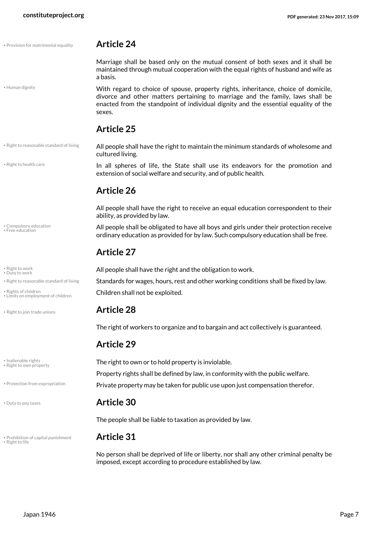• Provision for matrimonial equality **Article 24**

#### <span id="page-6-4"></span>• Human dignity

<span id="page-6-9"></span>Marriage shall be based only on the mutual consent of both sexes and it shall be maintained through mutual cooperation with the equal rights of husband and wife as a basis.

With regard to choice of spouse, property rights, inheritance, choice of domicile, divorce and other matters pertaining to marriage and the family, laws shall be enacted from the standpoint of individual dignity and the essential equality of the sexes.

• Right to reasonable standard of living

• Right to health care

<span id="page-6-3"></span>• Compulsory education • Free education

• Duty to work

<span id="page-6-2"></span>

• Limits on employment of children

<span id="page-6-13"></span>• Right to own property

<span id="page-6-1"></span>

<span id="page-6-12"></span>• Prohibition of capital punishment **Article 31** • Right to life

#### **Article 25**

<span id="page-6-10"></span>All people shall have the right to maintain the minimum standards of wholesome and cultured living.

> In all spheres of life, the State shall use its endeavors for the promotion and extension of social welfare and security, and of public health.

#### **Article 26**

All people shall have the right to receive an equal education correspondent to their ability, as provided by law.

<span id="page-6-0"></span>All people shall be obligated to have all boys and girls under their protection receive ordinary education as provided for by law. Such compulsory education shall be free.

#### <span id="page-6-14"></span>**Article 27**

<span id="page-6-15"></span>• Right to work **All people shall have the right and the obligation to work.** • Right to work.

• Right to reasonable standard of living **Standards for wages, hours, rest and other working conditions shall be fixed by law.** 

<span id="page-6-16"></span>• Rights of children shall not be exploited.

#### • Right to join trade unions **Article 28**

<span id="page-6-11"></span><span id="page-6-6"></span>The right of workers to organize and to bargain and act collectively is guaranteed.

#### **Article 29**

<span id="page-6-5"></span>• Inalienable rights **The right to own or to hold property is inviolable.** Property rights shall be defined by law, in conformity with the public welfare. . Protection from expropriation **Private property may be taken for public use upon just compensation therefor.** 

#### • Duty to pay taxes **Article 30**

<span id="page-6-8"></span>The people shall be liable to taxation as provided by law.

<span id="page-6-7"></span>No person shall be deprived of life or liberty, nor shall any other criminal penalty be imposed, except according to procedure established by law.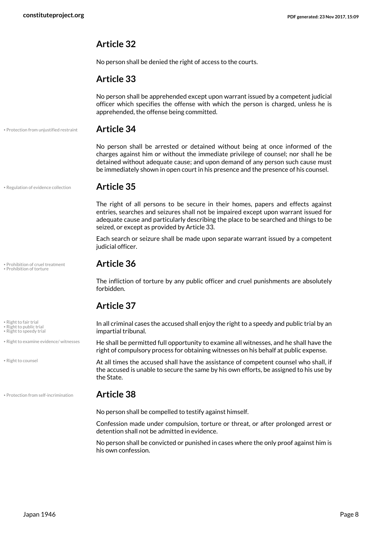No person shall be denied the right of access to the courts.

#### **Article 33**

No person shall be apprehended except upon warrant issued by a competent judicial officer which specifies the offense with which the person is charged, unless he is apprehended, the offense being committed.

• Protection from unjustified restraint **Article 34**

<span id="page-7-3"></span>No person shall be arrested or detained without being at once informed of the charges against him or without the immediate privilege of counsel; nor shall he be detained without adequate cause; and upon demand of any person such cause must be immediately shown in open court in his presence and the presence of his counsel.

<span id="page-7-4"></span>The right of all persons to be secure in their homes, papers and effects against entries, searches and seizures shall not be impaired except upon warrant issued for adequate cause and particularly describing the place to be searched and things to be

Each search or seizure shall be made upon separate warrant issued by a competent

• Regulation of evidence collection **Article 35**

# • Prohibition of cruel treatment **Article 36** • Prohibition of torture

<span id="page-7-1"></span>

<span id="page-7-7"></span>• Right to fair trial

<span id="page-7-9"></span><span id="page-7-8"></span>• Right to public trial • Right to speedy trial

• Right to examine evidence/ witnesses

<span id="page-7-5"></span>• Right to counsel

• Protection from self-incrimination **Article 38**

judicial officer.

seized, or except as provided by Article 33.

<span id="page-7-0"></span>The infliction of torture by any public officer and cruel punishments are absolutely forbidden.

#### **Article 37**

In all criminal cases the accused shall enjoy the right to a speedy and public trial by an impartial tribunal.

<span id="page-7-6"></span>He shall be permitted full opportunity to examine all witnesses, and he shall have the right of compulsory process for obtaining witnesses on his behalf at public expense.

At all times the accused shall have the assistance of competent counsel who shall, if the accused is unable to secure the same by his own efforts, be assigned to his use by the State.

<span id="page-7-2"></span>No person shall be compelled to testify against himself.

Confession made under compulsion, torture or threat, or after prolonged arrest or detention shall not be admitted in evidence.

No person shall be convicted or punished in cases where the only proof against him is his own confession.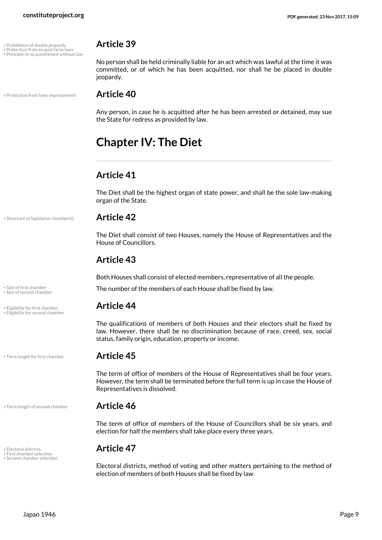- 
- Prohibition of double jeopardy **Article 39**<br>• Protection from ex post facto laws<br>• Principle of no punishment without law

• Protection from false imprisonment **Article 40**

<span id="page-8-7"></span><span id="page-8-6"></span><span id="page-8-5"></span>No person shall be held criminally liable for an act which was lawful at the time it was committed, or of which he has been acquitted, nor shall he be placed in double jeopardy.

<span id="page-8-8"></span>Any person, in case he is acquitted after he has been arrested or detained, may sue the State for redress as provided by law.

# <span id="page-8-0"></span>**Chapter IV: The Diet**

### **Article 41**

The Diet shall be the highest organ of state power, and shall be the sole law-making organ of the State.

#### • Structure of legislative chamber(s) **Article 42**

<span id="page-8-12"></span>The Diet shall consist of two Houses, namely the House of Representatives and the House of Councillors.

### **Article 43**

Both Houses shall consist of elected members, representative of all the people.

<span id="page-8-11"></span><span id="page-8-10"></span>Size of first chamber<br>Size of first chamber<br>Size of first chamber

#### • Eligibility for first chamber **Article 44**

<span id="page-8-3"></span><span id="page-8-2"></span>The qualifications of members of both Houses and their electors shall be fixed by law. However, there shall be no discrimination because of race, creed, sex, social status, family origin, education, property or income.

<span id="page-8-13"></span>The term of office of members of the House of Representatives shall be four years. However, the term shall be terminated before the full term is up in case the House of Representatives is dissolved.

#### • Term length of second chamber **Article 46**

<span id="page-8-14"></span>The term of office of members of the House of Councillors shall be six years, and election for half the members shall take place every three years.

<span id="page-8-9"></span><span id="page-8-4"></span>Electoral districts, method of voting and other matters pertaining to the method of election of members of both Houses shall be fixed by law.

• Size of second chamber

• Eligibility for second chamber

• Term length for first chamber **Article 45**

<span id="page-8-1"></span>• Electoral districts **Article 47** • First chamber selection • Second chamber selection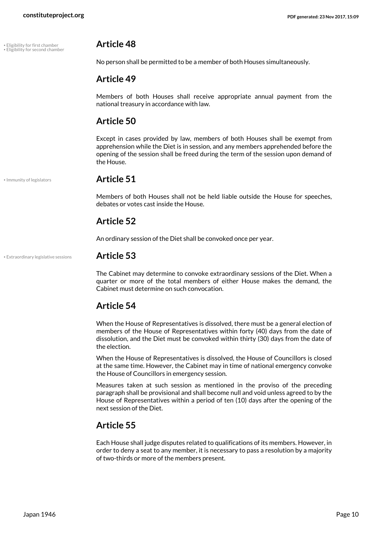• Eligibility for first chamber **Article 48** • Eligibility for second chamber

<span id="page-9-1"></span><span id="page-9-0"></span>No person shall be permitted to be a member of both Houses simultaneously.

#### **Article 49**

Members of both Houses shall receive appropriate annual payment from the national treasury in accordance with law.

#### **Article 50**

Except in cases provided by law, members of both Houses shall be exempt from apprehension while the Diet is in session, and any members apprehended before the opening of the session shall be freed during the term of the session upon demand of the House.

<span id="page-9-3"></span>

#### • Immunity of legislators **Article 51**

Members of both Houses shall not be held liable outside the House for speeches, debates or votes cast inside the House.

#### **Article 52**

An ordinary session of the Diet shall be convoked once per year.

• Extraordinary legislative sessions **Article 53**

<span id="page-9-2"></span>The Cabinet may determine to convoke extraordinary sessions of the Diet. When a quarter or more of the total members of either House makes the demand, the Cabinet must determine on such convocation.

#### **Article 54**

When the House of Representatives is dissolved, there must be a general election of members of the House of Representatives within forty (40) days from the date of dissolution, and the Diet must be convoked within thirty (30) days from the date of the election.

When the House of Representatives is dissolved, the House of Councillors is closed at the same time. However, the Cabinet may in time of national emergency convoke the House of Councillors in emergency session.

Measures taken at such session as mentioned in the proviso of the preceding paragraph shall be provisional and shall become null and void unless agreed to by the House of Representatives within a period of ten (10) days after the opening of the next session of the Diet.

#### **Article 55**

Each House shall judge disputes related to qualifications of its members. However, in order to deny a seat to any member, it is necessary to pass a resolution by a majority of two-thirds or more of the members present.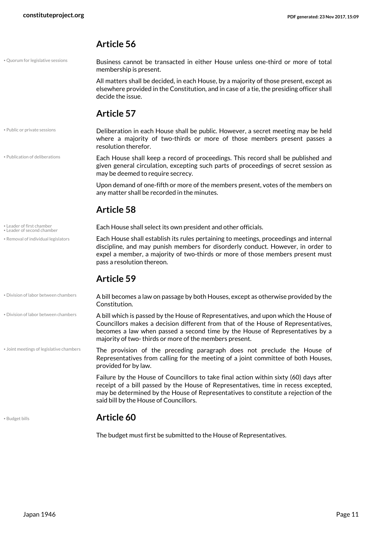• Quorum for legislative sessions

<span id="page-10-7"></span>Business cannot be transacted in either House unless one-third or more of total membership is present.

All matters shall be decided, in each House, by a majority of those present, except as elsewhere provided in the Constitution, and in case of a tie, the presiding officer shall decide the issue.

#### **Article 57**

• Public or private sessions

• Publication of deliberations

<span id="page-10-5"></span>Deliberation in each House shall be public. However, a secret meeting may be held where a majority of two-thirds or more of those members present passes a resolution therefor.

<span id="page-10-6"></span>Each House shall keep a record of proceedings. This record shall be published and given general circulation, excepting such parts of proceedings of secret session as may be deemed to require secrecy.

Upon demand of one-fifth or more of the members present, votes of the members on any matter shall be recorded in the minutes.

### **Article 58**

• Leader of second chamber

• Removal of individual legislators

• Division of labor between chambers

• Leader of first chamber<br>• Leader of first chamber<br>• Leader of ficeral chamber

<span id="page-10-8"></span><span id="page-10-4"></span><span id="page-10-3"></span>Each House shall establish its rules pertaining to meetings, proceedings and internal discipline, and may punish members for disorderly conduct. However, in order to expel a member, a majority of two-thirds or more of those members present must pass a resolution thereon.

#### **Article 59**

A bill becomes a law on passage by both Houses, except as otherwise provided by the Constitution. • Division of labor between chambers

> <span id="page-10-1"></span>A bill which is passed by the House of Representatives, and upon which the House of Councillors makes a decision different from that of the House of Representatives, becomes a law when passed a second time by the House of Representatives by a majority of two- thirds or more of the members present.

The provision of the preceding paragraph does not preclude the House of Representatives from calling for the meeting of a joint committee of both Houses, provided for by law. • Joint meetings of legislative chambers

> <span id="page-10-2"></span>Failure by the House of Councillors to take final action within sixty (60) days after receipt of a bill passed by the House of Representatives, time in recess excepted, may be determined by the House of Representatives to constitute a rejection of the said bill by the House of Councillors.

#### <span id="page-10-0"></span>• Budget bills **Article 60**

The budget must first be submitted to the House of Representatives.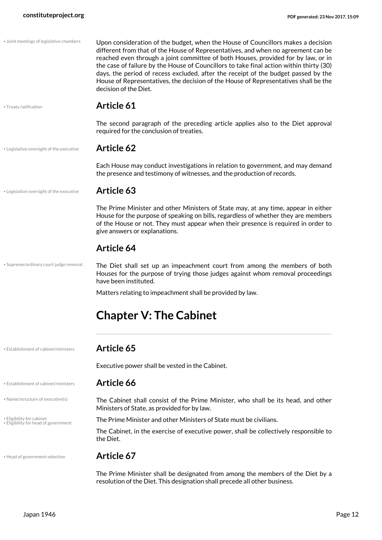<span id="page-11-9"></span><span id="page-11-8"></span><span id="page-11-7"></span><span id="page-11-6"></span><span id="page-11-5"></span><span id="page-11-4"></span><span id="page-11-3"></span><span id="page-11-2"></span><span id="page-11-1"></span><span id="page-11-0"></span>

| • Joint meetings of legislative chambers                          | Upon consideration of the budget, when the House of Councillors makes a decision<br>different from that of the House of Representatives, and when no agreement can be<br>reached even through a joint committee of both Houses, provided for by law, or in<br>the case of failure by the House of Councillors to take final action within thirty (30)<br>days, the period of recess excluded, after the receipt of the budget passed by the<br>House of Representatives, the decision of the House of Representatives shall be the<br>decision of the Diet. |
|-------------------------------------------------------------------|-------------------------------------------------------------------------------------------------------------------------------------------------------------------------------------------------------------------------------------------------------------------------------------------------------------------------------------------------------------------------------------------------------------------------------------------------------------------------------------------------------------------------------------------------------------|
| • Treaty ratification                                             | <b>Article 61</b>                                                                                                                                                                                                                                                                                                                                                                                                                                                                                                                                           |
|                                                                   | The second paragraph of the preceding article applies also to the Diet approval<br>required for the conclusion of treaties.                                                                                                                                                                                                                                                                                                                                                                                                                                 |
| . Legislative oversight of the executive                          | <b>Article 62</b>                                                                                                                                                                                                                                                                                                                                                                                                                                                                                                                                           |
|                                                                   | Each House may conduct investigations in relation to government, and may demand<br>the presence and testimony of witnesses, and the production of records.                                                                                                                                                                                                                                                                                                                                                                                                  |
| . Legislative oversight of the executive                          | <b>Article 63</b>                                                                                                                                                                                                                                                                                                                                                                                                                                                                                                                                           |
|                                                                   | The Prime Minister and other Ministers of State may, at any time, appear in either<br>House for the purpose of speaking on bills, regardless of whether they are members<br>of the House or not. They must appear when their presence is required in order to<br>give answers or explanations.                                                                                                                                                                                                                                                              |
|                                                                   | <b>Article 64</b>                                                                                                                                                                                                                                                                                                                                                                                                                                                                                                                                           |
| • Supreme/ordinary court judge removal                            | The Diet shall set up an impeachment court from among the members of both<br>Houses for the purpose of trying those judges against whom removal proceedings<br>have been instituted.                                                                                                                                                                                                                                                                                                                                                                        |
|                                                                   | Matters relating to impeachment shall be provided by law.                                                                                                                                                                                                                                                                                                                                                                                                                                                                                                   |
|                                                                   | <b>Chapter V: The Cabinet</b>                                                                                                                                                                                                                                                                                                                                                                                                                                                                                                                               |
| • Establishment of cabinet/ministers                              | Article 65                                                                                                                                                                                                                                                                                                                                                                                                                                                                                                                                                  |
|                                                                   | Executive power shall be vested in the Cabinet.                                                                                                                                                                                                                                                                                                                                                                                                                                                                                                             |
| • Establishment of cabinet/ministers                              | Article 66                                                                                                                                                                                                                                                                                                                                                                                                                                                                                                                                                  |
| • Name/structure of executive(s)                                  | The Cabinet shall consist of the Prime Minister, who shall be its head, and other<br>Ministers of State, as provided for by law.                                                                                                                                                                                                                                                                                                                                                                                                                            |
| • Eligibility for cabinet<br>• Eligibility for head of government | The Prime Minister and other Ministers of State must be civilians.                                                                                                                                                                                                                                                                                                                                                                                                                                                                                          |
|                                                                   | The Cabinet, in the exercise of executive power, shall be collectively responsible to<br>the Diet.                                                                                                                                                                                                                                                                                                                                                                                                                                                          |
| • Head of government selection                                    | Article 67                                                                                                                                                                                                                                                                                                                                                                                                                                                                                                                                                  |
|                                                                   | The Prime Minister shall be designated from among the members of the Diet by a<br>resolution of the Diet. This designation shall precede all other business.                                                                                                                                                                                                                                                                                                                                                                                                |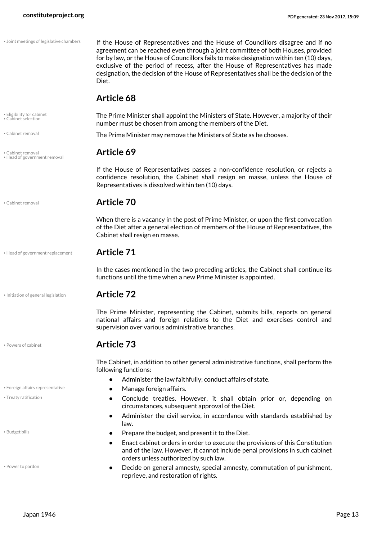• Joint meetings of legislative chambers

<span id="page-12-8"></span>If the House of Representatives and the House of Councillors disagree and if no agreement can be reached even through a joint committee of both Houses, provided for by law, or the House of Councillors fails to make designation within ten (10) days, exclusive of the period of recess, after the House of Representatives has made designation, the decision of the House of Representatives shall be the decision of the Diet.

#### **Article 68**

<span id="page-12-3"></span><span id="page-12-2"></span>The Prime Minister shall appoint the Ministers of State. However, a majority of their number must be chosen from among the members of the Diet.

The Prime Minister may remove the Ministers of State as he chooses. • Cabinet removal

<span id="page-12-5"></span>If the House of Representatives passes a non-confidence resolution, or rejects a confidence resolution, the Cabinet shall resign en masse, unless the House of Representatives is dissolved within ten (10) days.

#### <span id="page-12-1"></span>• Cabinet removal **Article 70**

When there is a vacancy in the post of Prime Minister, or upon the first convocation of the Diet after a general election of members of the House of Representatives, the Cabinet shall resign en masse.

#### • Head of government replacement **Article 71**

<span id="page-12-6"></span>In the cases mentioned in the two preceding articles, the Cabinet shall continue its functions until the time when a new Prime Minister is appointed.

• Initiation of general legislation **Article 72**

<span id="page-12-7"></span>The Prime Minister, representing the Cabinet, submits bills, reports on general national affairs and foreign relations to the Diet and exercises control and supervision over various administrative branches.

#### • Powers of cabinet **Article 73**

<span id="page-12-4"></span>The Cabinet, in addition to other general administrative functions, shall perform the following functions:

- **•** Administer the law faithfully; conduct affairs of state.
- Foreign affairs representative  **Manage foreign affairs.** 
	- **•** Conclude treaties. However, it shall obtain prior or, depending on circumstances, subsequent approval of the Diet.
	- **•** Administer the civil service, in accordance with standards established by law.
- Budget bills  **Prepare the budget, and present it to the Diet.** 
	- **•** Enact cabinet orders in order to execute the provisions of this Constitution and of the law. However, it cannot include penal provisions in such cabinet orders unless authorized by such law.
	- **•** Decide on general amnesty, special amnesty, commutation of punishment, reprieve, and restoration of rights.

• Eligibility for cabinet • Cabinet selection

• Cabinet removal **Article 69** • Head of government removal

<span id="page-12-10"></span>

<span id="page-12-11"></span>• Treaty ratification

<span id="page-12-0"></span>

<span id="page-12-9"></span>• Power to pardon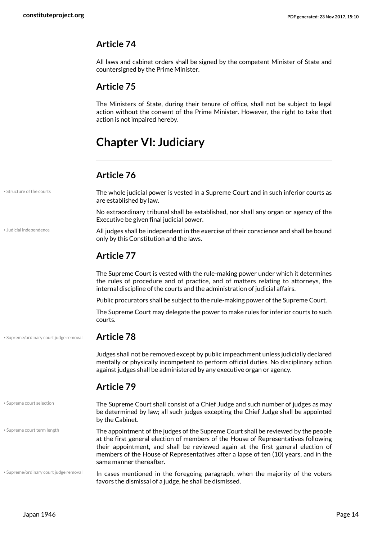All laws and cabinet orders shall be signed by the competent Minister of State and countersigned by the Prime Minister.

#### **Article 75**

The Ministers of State, during their tenure of office, shall not be subject to legal action without the consent of the Prime Minister. However, the right to take that action is not impaired hereby.

# <span id="page-13-0"></span>**Chapter VI: Judiciary**

#### <span id="page-13-2"></span>**Article 76**

<span id="page-13-5"></span><span id="page-13-4"></span><span id="page-13-3"></span><span id="page-13-1"></span>

| · Structure of the courts              | The whole judicial power is vested in a Supreme Court and in such inferior courts as<br>are established by law.                                                                                                                                                                                                                                                               |
|----------------------------------------|-------------------------------------------------------------------------------------------------------------------------------------------------------------------------------------------------------------------------------------------------------------------------------------------------------------------------------------------------------------------------------|
|                                        | No extraordinary tribunal shall be established, nor shall any organ or agency of the<br>Executive be given final judicial power.                                                                                                                                                                                                                                              |
| · Judicial independence                | All judges shall be independent in the exercise of their conscience and shall be bound<br>only by this Constitution and the laws.                                                                                                                                                                                                                                             |
|                                        | <b>Article 77</b>                                                                                                                                                                                                                                                                                                                                                             |
|                                        | The Supreme Court is vested with the rule-making power under which it determines<br>the rules of procedure and of practice, and of matters relating to attorneys, the<br>internal discipline of the courts and the administration of judicial affairs.                                                                                                                        |
|                                        | Public procurators shall be subject to the rule-making power of the Supreme Court.                                                                                                                                                                                                                                                                                            |
|                                        | The Supreme Court may delegate the power to make rules for inferior courts to such<br>courts.                                                                                                                                                                                                                                                                                 |
| · Supreme/ordinary court judge removal | <b>Article 78</b>                                                                                                                                                                                                                                                                                                                                                             |
|                                        | Judges shall not be removed except by public impeachment unless judicially declared<br>mentally or physically incompetent to perform official duties. No disciplinary action<br>against judges shall be administered by any executive organ or agency.                                                                                                                        |
|                                        | <b>Article 79</b>                                                                                                                                                                                                                                                                                                                                                             |
| • Supreme court selection              | The Supreme Court shall consist of a Chief Judge and such number of judges as may<br>be determined by law; all such judges excepting the Chief Judge shall be appointed<br>by the Cabinet.                                                                                                                                                                                    |
| · Supreme court term length            | The appointment of the judges of the Supreme Court shall be reviewed by the people<br>at the first general election of members of the House of Representatives following<br>their appointment, and shall be reviewed again at the first general election of<br>members of the House of Representatives after a lapse of ten (10) years, and in the<br>same manner thereafter. |
| · Supreme/ordinary court judge removal | In cases mentioned in the foregoing paragraph, when the majority of the voters<br>favors the dismissal of a judge, he shall be dismissed.                                                                                                                                                                                                                                     |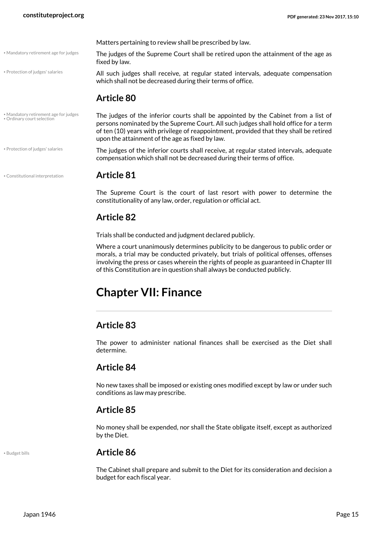• Mandatory retirement age for judges

• Protection of judges' salaries

• Protection of judges' salaries

Matters pertaining to review shall be prescribed by law.

The judges of the Supreme Court shall be retired upon the attainment of the age as fixed by law.

All such judges shall receive, at regular stated intervals, adequate compensation which shall not be decreased during their terms of office.

#### <span id="page-14-3"></span>**Article 80**

The judges of the inferior courts shall be appointed by the Cabinet from a list of persons nominated by the Supreme Court. All such judges shall hold office for a term of ten (10) years with privilege of reappointment, provided that they shall be retired upon the attainment of the age as fixed by law. • Mandatory retirement age for judges • Ordinary court selection

> <span id="page-14-5"></span><span id="page-14-4"></span><span id="page-14-2"></span>The judges of the inferior courts shall receive, at regular stated intervals, adequate compensation which shall not be decreased during their terms of office.

#### • Constitutional interpretation **Article 81**

The Supreme Court is the court of last resort with power to determine the constitutionality of any law, order, regulation or official act.

#### **Article 82**

Trials shall be conducted and judgment declared publicly.

Where a court unanimously determines publicity to be dangerous to public order or morals, a trial may be conducted privately, but trials of political offenses, offenses involving the press or cases wherein the rights of people as guaranteed in Chapter III of this Constitution are in question shall always be conducted publicly.

# <span id="page-14-0"></span>**Chapter VII: Finance**

#### **Article 83**

The power to administer national finances shall be exercised as the Diet shall determine.

#### **Article 84**

No new taxes shall be imposed or existing ones modified except by law or under such conditions as law may prescribe.

#### **Article 85**

No money shall be expended, nor shall the State obligate itself, except as authorized by the Diet.

#### <span id="page-14-1"></span>• Budget bills **Article 86**

The Cabinet shall prepare and submit to the Diet for its consideration and decision a budget for each fiscal year.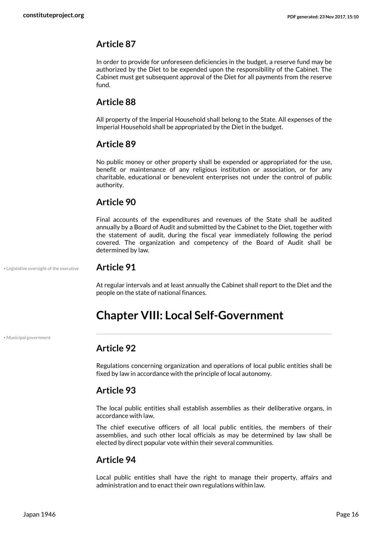In order to provide for unforeseen deficiencies in the budget, a reserve fund may be authorized by the Diet to be expended upon the responsibility of the Cabinet. The Cabinet must get subsequent approval of the Diet for all payments from the reserve fund.

### **Article 88**

All property of the Imperial Household shall belong to the State. All expenses of the Imperial Household shall be appropriated by the Diet in the budget.

### **Article 89**

No public money or other property shall be expended or appropriated for the use, benefit or maintenance of any religious institution or association, or for any charitable, educational or benevolent enterprises not under the control of public authority.

### **Article 90**

Final accounts of the expenditures and revenues of the State shall be audited annually by a Board of Audit and submitted by the Cabinet to the Diet, together with the statement of audit, during the fiscal year immediately following the period covered. The organization and competency of the Board of Audit shall be determined by law.

• Legislative oversight of the executive **Article 91**

<span id="page-15-1"></span>At regular intervals and at least annually the Cabinet shall report to the Diet and the people on the state of national finances.

# <span id="page-15-0"></span>**Chapter VIII: Local Self-Government**

• Municipal government

### <span id="page-15-2"></span>**Article 92**

Regulations concerning organization and operations of local public entities shall be fixed by law in accordance with the principle of local autonomy.

#### **Article 93**

The local public entities shall establish assemblies as their deliberative organs, in accordance with law.

The chief executive officers of all local public entities, the members of their assemblies, and such other local officials as may be determined by law shall be elected by direct popular vote within their several communities.

#### **Article 94**

Local public entities shall have the right to manage their property, affairs and administration and to enact their own regulations within law.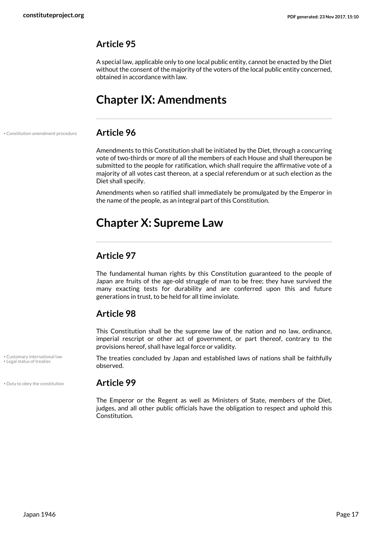A special law, applicable only to one local public entity, cannot be enacted by the Diet without the consent of the majority of the voters of the local public entity concerned, obtained in accordance with law.

# <span id="page-16-0"></span>**Chapter IX: Amendments**

• Constitution amendment procedure **Article 96**

<span id="page-16-2"></span>Amendments to this Constitution shall be initiated by the Diet, through a concurring vote of two-thirds or more of all the members of each House and shall thereupon be submitted to the people for ratification, which shall require the affirmative vote of a majority of all votes cast thereon, at a special referendum or at such election as the Diet shall specify.

Amendments when so ratified shall immediately be promulgated by the Emperor in the name of the people, as an integral part of this Constitution.

# <span id="page-16-1"></span>**Chapter X: Supreme Law**

### **Article 97**

The fundamental human rights by this Constitution guaranteed to the people of Japan are fruits of the age-old struggle of man to be free; they have survived the many exacting tests for durability and are conferred upon this and future generations in trust, to be held for all time inviolate.

#### **Article 98**

This Constitution shall be the supreme law of the nation and no law, ordinance, imperial rescript or other act of government, or part thereof, contrary to the provisions hereof, shall have legal force or validity.

<span id="page-16-5"></span><span id="page-16-3"></span>The treaties concluded by Japan and established laws of nations shall be faithfully observed.

#### • Duty to obey the constitution **Article 99**

<span id="page-16-4"></span>The Emperor or the Regent as well as Ministers of State, members of the Diet, judges, and all other public officials have the obligation to respect and uphold this Constitution.

• Customary international law • Legal status of treaties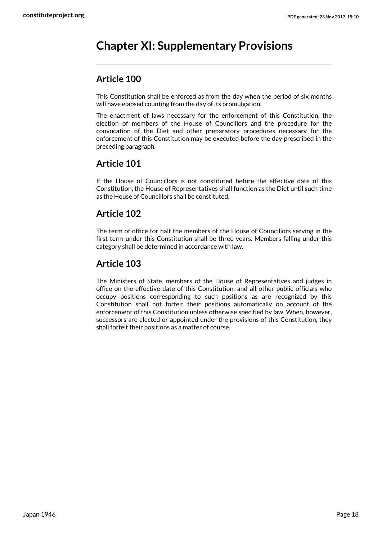# <span id="page-17-0"></span>**Chapter XI: Supplementary Provisions**

### **Article 100**

This Constitution shall be enforced as from the day when the period of six months will have elapsed counting from the day of its promulgation.

The enactment of laws necessary for the enforcement of this Constitution, the election of members of the House of Councillors and the procedure for the convocation of the Diet and other preparatory procedures necessary for the enforcement of this Constitution may be executed before the day prescribed in the preceding paragraph.

### **Article 101**

If the House of Councillors is not constituted before the effective date of this Constitution, the House of Representatives shall function as the Diet until such time as the House of Councillors shall be constituted.

### **Article 102**

The term of office for half the members of the House of Councillors serving in the first term under this Constitution shall be three years. Members falling under this category shall be determined in accordance with law.

### **Article 103**

The Ministers of State, members of the House of Representatives and judges in office on the effective date of this Constitution, and all other public officials who occupy positions corresponding to such positions as are recognized by this Constitution shall not forfeit their positions automatically on account of the enforcement of this Constitution unless otherwise specified by law. When, however, successors are elected or appointed under the provisions of this Constitution, they shall forfeit their positions as a matter of course.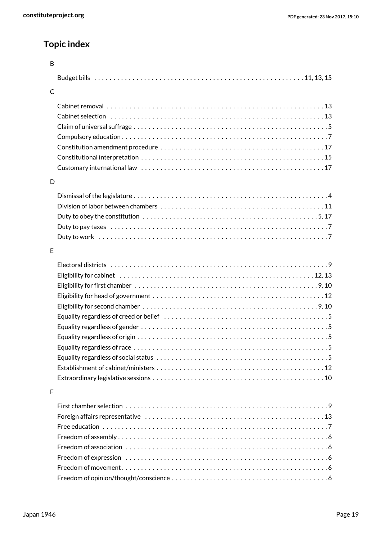# **Topic index**

| B |  |
|---|--|
|   |  |
| C |  |
|   |  |
|   |  |
|   |  |
|   |  |
|   |  |
|   |  |
|   |  |
| D |  |
|   |  |
|   |  |
|   |  |
|   |  |
|   |  |
| E |  |
|   |  |
|   |  |
|   |  |
|   |  |
|   |  |
|   |  |
|   |  |
|   |  |
|   |  |
|   |  |
|   |  |
|   |  |
| F |  |
|   |  |
|   |  |
|   |  |
|   |  |
|   |  |
|   |  |
|   |  |
|   |  |
|   |  |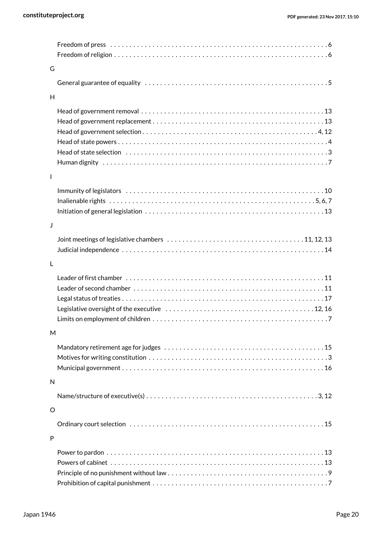| G              |                                                                                                                   |
|----------------|-------------------------------------------------------------------------------------------------------------------|
|                |                                                                                                                   |
| H              |                                                                                                                   |
|                |                                                                                                                   |
|                |                                                                                                                   |
|                |                                                                                                                   |
|                |                                                                                                                   |
|                |                                                                                                                   |
|                |                                                                                                                   |
| $\overline{1}$ |                                                                                                                   |
|                |                                                                                                                   |
|                | Inalienable rights $\dots\dots\dots\dots\dots\dots\dots\dots\dots\dots\dots\dots\dots\dots\dots\dots\dots$        |
|                |                                                                                                                   |
| J              |                                                                                                                   |
|                |                                                                                                                   |
|                |                                                                                                                   |
| $\mathsf{L}$   |                                                                                                                   |
|                |                                                                                                                   |
|                |                                                                                                                   |
|                |                                                                                                                   |
|                |                                                                                                                   |
|                |                                                                                                                   |
| M              |                                                                                                                   |
|                |                                                                                                                   |
|                |                                                                                                                   |
|                |                                                                                                                   |
| N              |                                                                                                                   |
|                | Name/structure of executive(s) $\dots\dots\dots\dots\dots\dots\dots\dots\dots\dots\dots\dots\dots\dots\dots\dots$ |
| $\circ$        |                                                                                                                   |
|                |                                                                                                                   |
| P              |                                                                                                                   |
|                |                                                                                                                   |
|                |                                                                                                                   |
|                |                                                                                                                   |
|                |                                                                                                                   |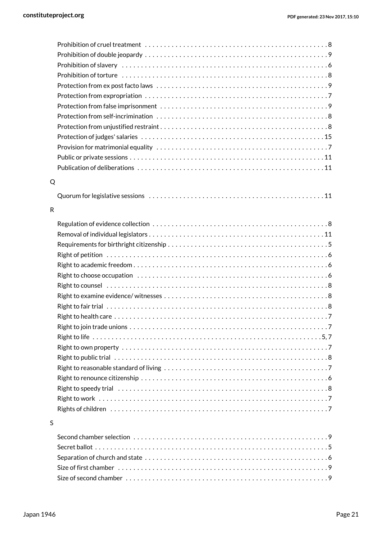| Q |                                   |  |
|---|-----------------------------------|--|
|   |                                   |  |
|   |                                   |  |
| R |                                   |  |
|   |                                   |  |
|   |                                   |  |
|   |                                   |  |
|   |                                   |  |
|   |                                   |  |
|   |                                   |  |
|   |                                   |  |
|   |                                   |  |
|   |                                   |  |
|   |                                   |  |
|   | Right to join trade unions<br>. 7 |  |
|   |                                   |  |
|   |                                   |  |
|   |                                   |  |
|   |                                   |  |
|   |                                   |  |
|   |                                   |  |
|   |                                   |  |
|   |                                   |  |
| S |                                   |  |
|   |                                   |  |
|   |                                   |  |

#### S

| Size of first chamber $\dots\dots\dots\dots\dots\dots\dots\dots\dots\dots\dots\dots\dots\dots\dots\dots$ |  |
|----------------------------------------------------------------------------------------------------------|--|
|                                                                                                          |  |